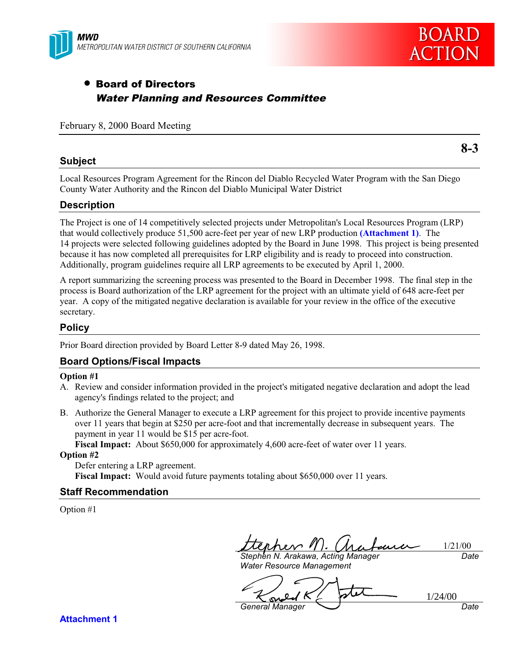



**8-3**

## • Board of Directors Water Planning and Resources Committee

### February 8, 2000 Board Meeting

**Subject**

Local Resources Program Agreement for the Rincon del Diablo Recycled Water Program with the San Diego County Water Authority and the Rincon del Diablo Municipal Water District

## **Description**

The Project is one of 14 competitively selected projects under Metropolitan's Local Resources Program (LRP) that would collectively produce 51,500 acre-feet per year of new LRP production **(Attachment 1)**. The 14 projects were selected following guidelines adopted by the Board in June 1998. This project is being presented because it has now completed all prerequisites for LRP eligibility and is ready to proceed into construction. Additionally, program guidelines require all LRP agreements to be executed by April 1, 2000.

A report summarizing the screening process was presented to the Board in December 1998. The final step in the process is Board authorization of the LRP agreement for the project with an ultimate yield of 648 acre-feet per year. A copy of the mitigated negative declaration is available for your review in the office of the executive secretary.

#### **Policy**

Prior Board direction provided by Board Letter 8-9 dated May 26, 1998.

## **Board Options/Fiscal Impacts**

#### **Option #1**

- A. Review and consider information provided in the project's mitigated negative declaration and adopt the lead agency's findings related to the project; and
- B. Authorize the General Manager to execute a LRP agreement for this project to provide incentive payments over 11 years that begin at \$250 per acre-foot and that incrementally decrease in subsequent years. The payment in year 11 would be \$15 per acre-foot.

**Fiscal Impact:** About \$650,000 for approximately 4,600 acre-feet of water over 11 years.

#### **Option #2**

Defer entering a LRP agreement. **Fiscal Impact:** Would avoid future payments totaling about \$650,000 over 11 years.

#### **Staff Recommendation**

Option #1

1/21/00

Stephen N. Arakawa, Acting Manager Water Resource Management

**Date** 

1/24/00 <u>مى</u> General Manager  $\sum$  Date

**Attachment 1**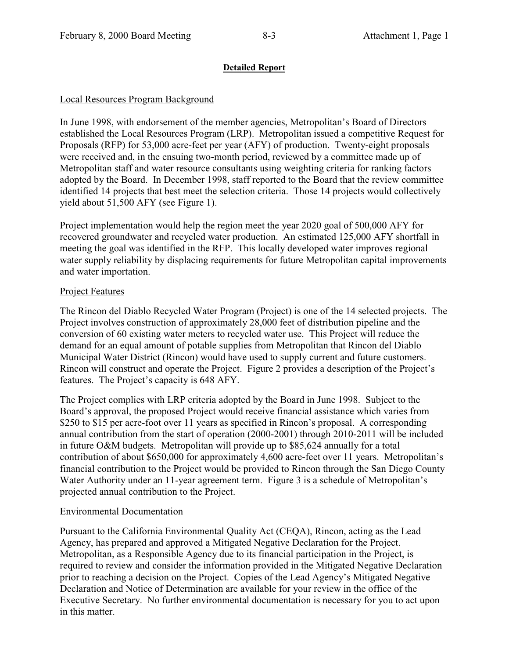## **Detailed Report**

## Local Resources Program Background

In June 1998, with endorsement of the member agencies, Metropolitan's Board of Directors established the Local Resources Program (LRP). Metropolitan issued a competitive Request for Proposals (RFP) for 53,000 acre-feet per year (AFY) of production. Twenty-eight proposals were received and, in the ensuing two-month period, reviewed by a committee made up of Metropolitan staff and water resource consultants using weighting criteria for ranking factors adopted by the Board. In December 1998, staff reported to the Board that the review committee identified 14 projects that best meet the selection criteria. Those 14 projects would collectively yield about 51,500 AFY (see Figure 1).

Project implementation would help the region meet the year 2020 goal of 500,000 AFY for recovered groundwater and recycled water production. An estimated 125,000 AFY shortfall in meeting the goal was identified in the RFP. This locally developed water improves regional water supply reliability by displacing requirements for future Metropolitan capital improvements and water importation.

## Project Features

The Rincon del Diablo Recycled Water Program (Project) is one of the 14 selected projects. The Project involves construction of approximately 28,000 feet of distribution pipeline and the conversion of 60 existing water meters to recycled water use. This Project will reduce the demand for an equal amount of potable supplies from Metropolitan that Rincon del Diablo Municipal Water District (Rincon) would have used to supply current and future customers. Rincon will construct and operate the Project. Figure 2 provides a description of the Project's features. The Project's capacity is 648 AFY.

The Project complies with LRP criteria adopted by the Board in June 1998. Subject to the Board's approval, the proposed Project would receive financial assistance which varies from \$250 to \$15 per acre-foot over 11 years as specified in Rincon's proposal. A corresponding annual contribution from the start of operation (2000-2001) through 2010-2011 will be included in future O&M budgets. Metropolitan will provide up to \$85,624 annually for a total contribution of about \$650,000 for approximately 4,600 acre-feet over 11 years. Metropolitan's financial contribution to the Project would be provided to Rincon through the San Diego County Water Authority under an 11-year agreement term. Figure 3 is a schedule of Metropolitan's projected annual contribution to the Project.

## Environmental Documentation

Pursuant to the California Environmental Quality Act (CEQA), Rincon, acting as the Lead Agency, has prepared and approved a Mitigated Negative Declaration for the Project. Metropolitan, as a Responsible Agency due to its financial participation in the Project, is required to review and consider the information provided in the Mitigated Negative Declaration prior to reaching a decision on the Project. Copies of the Lead Agency's Mitigated Negative Declaration and Notice of Determination are available for your review in the office of the Executive Secretary. No further environmental documentation is necessary for you to act upon in this matter.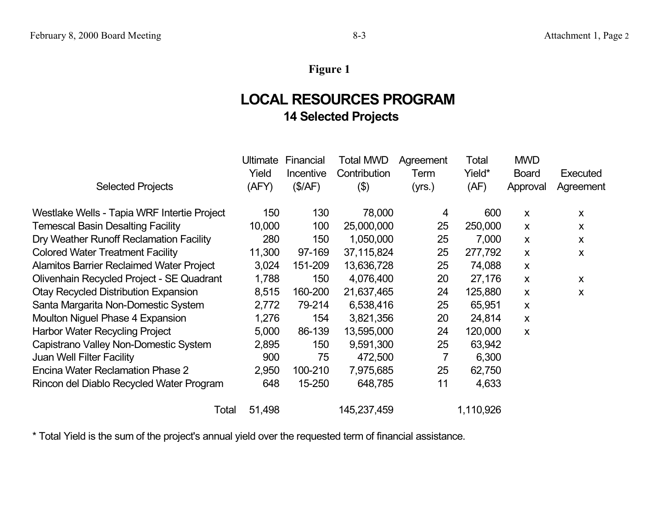# **Figure 1**

# **LOCAL RESOURCES PROGRAM 14 Selected Projects**

|                                                 | Ultimate | Financial | Total MWD    | Agreement | Total     | <b>MWD</b>                |              |
|-------------------------------------------------|----------|-----------|--------------|-----------|-----------|---------------------------|--------------|
|                                                 | Yield    | Incentive | Contribution | Term      | Yield*    | <b>Board</b>              | Executed     |
| <b>Selected Projects</b>                        | (AFY)    | (\$/AF)   | $(\$)$       | (yrs.)    | (AF)      | Approval                  | Agreement    |
| Westlake Wells - Tapia WRF Intertie Project     | 150      | 130       | 78,000       | 4         | 600       | $\boldsymbol{\mathsf{X}}$ | X            |
| <b>Temescal Basin Desalting Facility</b>        | 10,000   | 100       | 25,000,000   | 25        | 250,000   | $\boldsymbol{\mathsf{x}}$ | $\mathsf{x}$ |
| Dry Weather Runoff Reclamation Facility         | 280      | 150       | 1,050,000    | 25        | 7,000     | $\boldsymbol{\mathsf{x}}$ | $\mathsf{x}$ |
| <b>Colored Water Treatment Facility</b>         | 11,300   | 97-169    | 37,115,824   | 25        | 277,792   | X                         | X            |
| <b>Alamitos Barrier Reclaimed Water Project</b> | 3,024    | 151-209   | 13,636,728   | 25        | 74,088    | X                         |              |
| Olivenhain Recycled Project - SE Quadrant       | 1,788    | 150       | 4,076,400    | 20        | 27,176    | $\boldsymbol{\mathsf{x}}$ | X            |
| <b>Otay Recycled Distribution Expansion</b>     | 8,515    | 160-200   | 21,637,465   | 24        | 125,880   | $\boldsymbol{\mathsf{X}}$ | X            |
| Santa Margarita Non-Domestic System             | 2,772    | 79-214    | 6,538,416    | 25        | 65,951    | X                         |              |
| Moulton Niguel Phase 4 Expansion                | 1,276    | 154       | 3,821,356    | 20        | 24,814    | $\boldsymbol{\mathsf{X}}$ |              |
| Harbor Water Recycling Project                  | 5,000    | 86-139    | 13,595,000   | 24        | 120,000   | X                         |              |
| Capistrano Valley Non-Domestic System           | 2,895    | 150       | 9,591,300    | 25        | 63,942    |                           |              |
| Juan Well Filter Facility                       | 900      | 75        | 472,500      | 7         | 6,300     |                           |              |
| Encina Water Reclamation Phase 2                | 2,950    | 100-210   | 7,975,685    | 25        | 62,750    |                           |              |
| Rincon del Diablo Recycled Water Program        | 648      | 15-250    | 648,785      | 11        | 4,633     |                           |              |
| Total                                           | 51,498   |           | 145,237,459  |           | 1,110,926 |                           |              |

\* Total Yield is the sum of the project's annual yield over the requested term of financial assistance.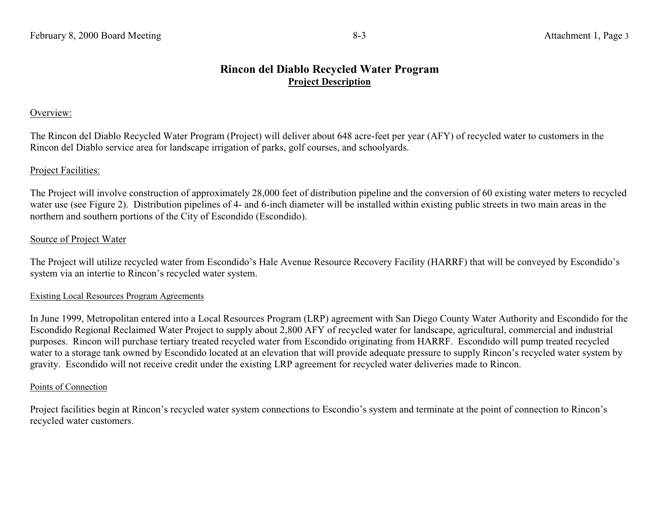#### Overview:

The Rincon del Diablo Recycled Water Program (Project) will deliver about 648 acre-feet per year (AFY) of recycled water to customers in the Rincon del Diablo service area for landscape irrigation of parks, golf courses, and schoolyards.

## Project Facilities:

The Project will involve construction of approximately 28,000 feet of distribution pipeline and the conversion of 60 existing water meters to recycled water use (see Figure 2). Distribution pipelines of 4- and 6-inch diameter will be installed within existing public streets in two main areas in the northern and southern portions of the City of Escondido (Escondido).

#### Source of Project Water

The Project will utilize recycled water from Escondido's Hale Avenue Resource Recovery Facility (HARRF) that will be conveyed by Escondido's system via an intertie to Rincon's recycled water system.

#### Existing Local Resources Program Agreements

In June 1999, Metropolitan entered into a Local Resources Program (LRP) agreement with San Diego County Water Authority and Escondido for the Escondido Regional Reclaimed Water Project to supply about 2,800 AFY of recycled water for landscape, agricultural, commercial and industrial purposes. Rincon will purchase tertiary treated recycled water from Escondido originating from HARRF. Escondido will pump treated recycled water to a storage tank owned by Escondido located at an elevation that will provide adequate pressure to supply Rincon's recycled water system by gravity. Escondido will not receive credit under the existing LRP agreement for recycled water deliveries made to Rincon.

#### Points of Connection

Project facilities begin at Rincon's recycled water system connections to Escondio's system and terminate at the point of connection to Rincon's recycled water customers.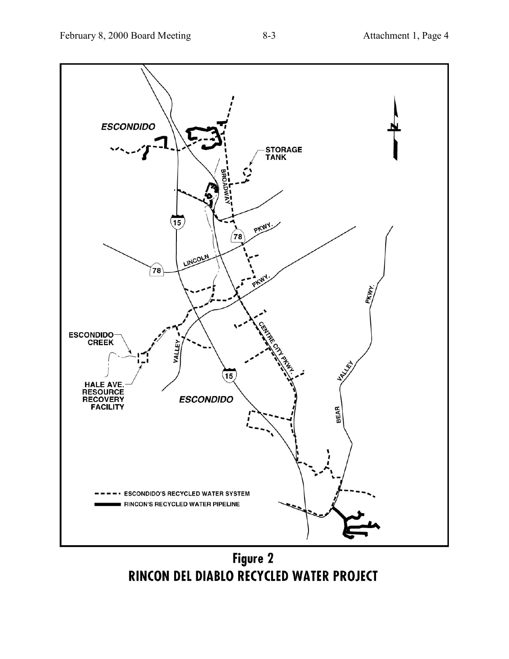

Figure 2 RINCON DEL DIABLO RECYCLED WATER PROJECT